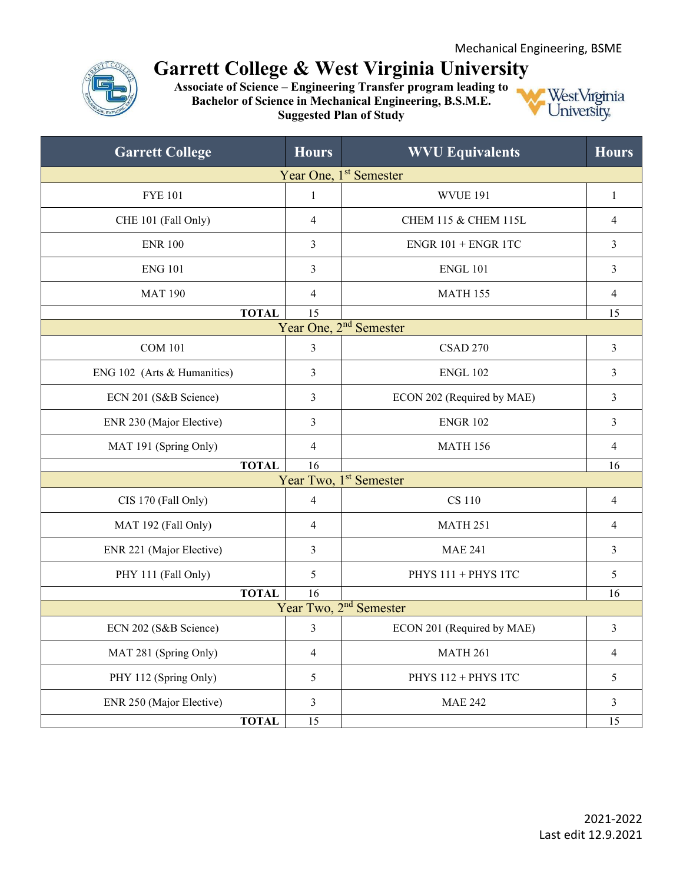

## **Garrett College & West Virginia University**

**Associate of Science – Engineering Transfer program leading to Bachelor of Science in Mechanical Engineering, B.S.M.E. Suggested Plan of Study**



| <b>Garrett College</b>             | <b>Hours</b>   | <b>WVU Equivalents</b>             | <b>Hours</b>   |  |  |
|------------------------------------|----------------|------------------------------------|----------------|--|--|
| Year One, 1 <sup>st</sup> Semester |                |                                    |                |  |  |
| <b>FYE 101</b>                     | $\mathbf{1}$   | <b>WVUE 191</b>                    | $\mathbf{1}$   |  |  |
| CHE 101 (Fall Only)                | $\overline{4}$ | CHEM 115 & CHEM 115L               | $\overline{4}$ |  |  |
| <b>ENR 100</b>                     | 3              | $ENGR$ 101 + ENGR 1TC              | 3              |  |  |
| <b>ENG 101</b>                     | 3              | <b>ENGL 101</b>                    | 3              |  |  |
| <b>MAT 190</b>                     | 4              | <b>MATH 155</b>                    | 4              |  |  |
| <b>TOTAL</b>                       | 15             |                                    | 15             |  |  |
|                                    |                | Year One, 2 <sup>nd</sup> Semester |                |  |  |
| <b>COM 101</b>                     | 3              | <b>CSAD 270</b>                    | $\overline{3}$ |  |  |
| ENG 102 (Arts & Humanities)        | 3              | <b>ENGL 102</b>                    | 3              |  |  |
| ECN 201 (S&B Science)              | 3              | ECON 202 (Required by MAE)         | 3              |  |  |
| ENR 230 (Major Elective)           | 3              | <b>ENGR 102</b>                    | 3              |  |  |
| MAT 191 (Spring Only)              | 4              | <b>MATH 156</b>                    | 4              |  |  |
| <b>TOTAL</b>                       | 16             |                                    | 16             |  |  |
| Year Two, 1 <sup>st</sup> Semester |                |                                    |                |  |  |
| CIS 170 (Fall Only)                | 4              | <b>CS 110</b>                      | 4              |  |  |
| MAT 192 (Fall Only)                | $\overline{4}$ | <b>MATH 251</b>                    | $\overline{4}$ |  |  |
| ENR 221 (Major Elective)           | 3              | <b>MAE 241</b>                     | 3              |  |  |
| PHY 111 (Fall Only)                | 5              | PHYS 111 + PHYS 1TC                | 5              |  |  |
| <b>TOTAL</b>                       | 16             |                                    | 16             |  |  |
| Year Two, 2 <sup>nd</sup> Semester |                |                                    |                |  |  |
| ECN 202 (S&B Science)              | $\mathfrak{Z}$ | ECON 201 (Required by MAE)         | 3              |  |  |
| MAT 281 (Spring Only)              | $\overline{4}$ | <b>MATH 261</b>                    | 4              |  |  |
| PHY 112 (Spring Only)              | 5              | PHYS 112 + PHYS 1TC                | 5              |  |  |
| ENR 250 (Major Elective)           | 3              | <b>MAE 242</b>                     | 3              |  |  |
| <b>TOTAL</b>                       | 15             |                                    | 15             |  |  |